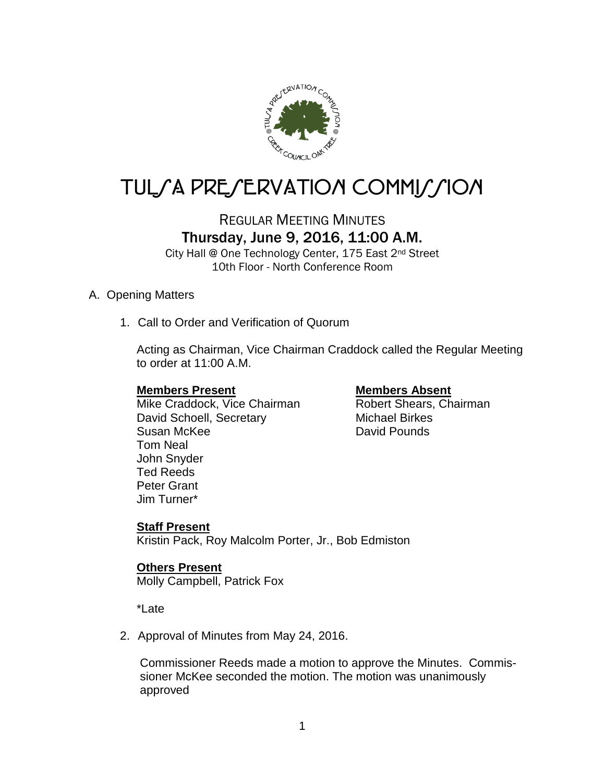

# TUL/A PRE/ERVATION COMMI*J*/ION

# REGULAR MEETING MINUTES Thursday, June 9, 2016, 11:00 A.M.

City Hall @ One Technology Center, 175 East 2<sup>nd</sup> Street 10th Floor - North Conference Room

#### A. Opening Matters

1. Call to Order and Verification of Quorum

Acting as Chairman, Vice Chairman Craddock called the Regular Meeting to order at 11:00 A.M.

**Members Present**<br>
Mike Craddock, Vice Chairman<br>
Mike Craddock, Vice Chairman<br>
Membert Shears, Chairman Mike Craddock, Vice Chairman David Schoell, Secretary **Michael Birkes** Susan McKee David Pounds Tom Neal John Snyder Ted Reeds Peter Grant Jim Turner\*

### **Staff Present**

Kristin Pack, Roy Malcolm Porter, Jr., Bob Edmiston

### **Others Present**

Molly Campbell, Patrick Fox

\*Late

2. Approval of Minutes from May 24, 2016.

 Commissioner Reeds made a motion to approve the Minutes. Commis sioner McKee seconded the motion. The motion was unanimously approved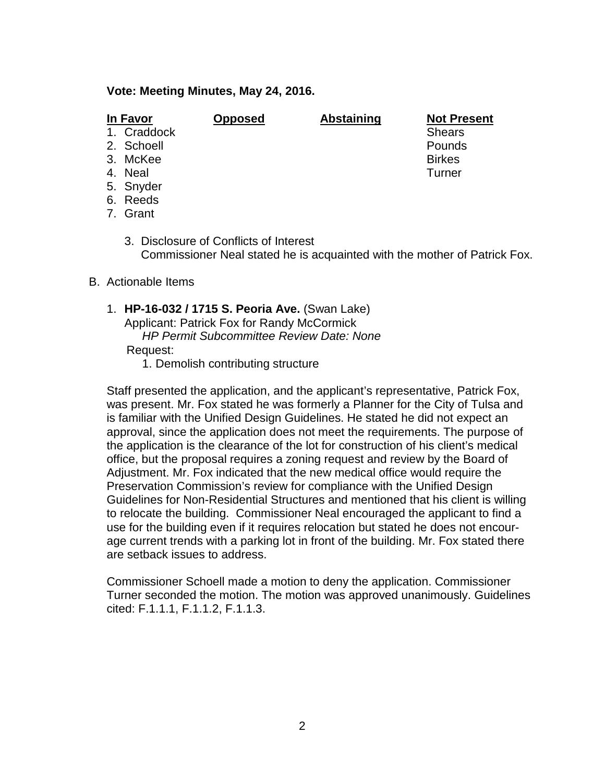#### **Vote: Meeting Minutes, May 24, 2016.**

| In Favor    | <b>Opposed</b> | <b>Abstaining</b> | <b>Not Present</b> |
|-------------|----------------|-------------------|--------------------|
| 1. Craddock |                |                   | <b>Shears</b>      |
| 2. Schoell  |                |                   | Pounds             |
| 3. McKee    |                |                   | <b>Birkes</b>      |
| 4. Neal     |                |                   | Turner             |
| 5. Snyder   |                |                   |                    |
|             |                |                   |                    |

- 6. Reeds
- 7. Grant
	- 3. Disclosure of Conflicts of Interest Commissioner Neal stated he is acquainted with the mother of Patrick Fox.

#### B. Actionable Items

- 1. **HP-16-032 / 1715 S. Peoria Ave.** (Swan Lake) Applicant: Patrick Fox for Randy McCormick *HP Permit Subcommittee Review Date: None* Request:
	- 1. Demolish contributing structure

Staff presented the application, and the applicant's representative, Patrick Fox, was present. Mr. Fox stated he was formerly a Planner for the City of Tulsa and is familiar with the Unified Design Guidelines. He stated he did not expect an approval, since the application does not meet the requirements. The purpose of the application is the clearance of the lot for construction of his client's medical office, but the proposal requires a zoning request and review by the Board of Adjustment. Mr. Fox indicated that the new medical office would require the Preservation Commission's review for compliance with the Unified Design Guidelines for Non-Residential Structures and mentioned that his client is willing to relocate the building. Commissioner Neal encouraged the applicant to find a use for the building even if it requires relocation but stated he does not encourage current trends with a parking lot in front of the building. Mr. Fox stated there are setback issues to address.

Commissioner Schoell made a motion to deny the application. Commissioner Turner seconded the motion. The motion was approved unanimously. Guidelines cited: F.1.1.1, F.1.1.2, F.1.1.3.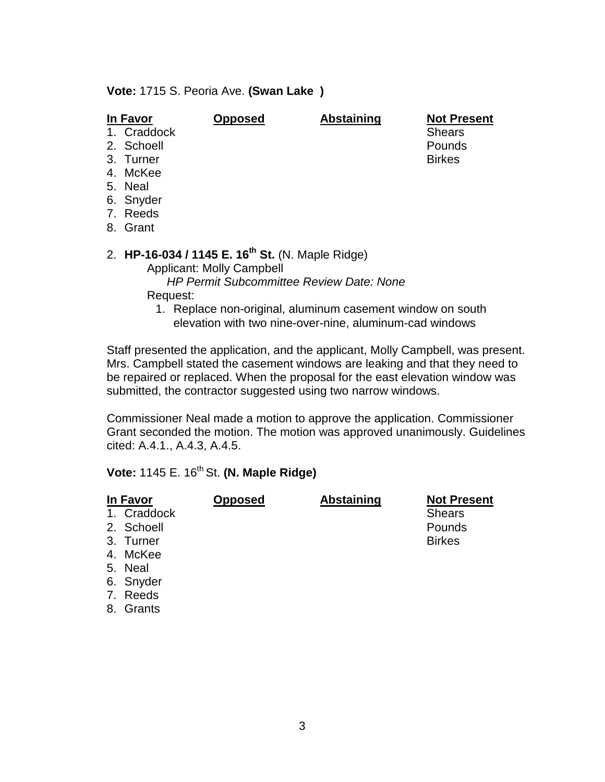**Vote:** 1715 S. Peoria Ave. **(Swan Lake )**

| In Favor  | <b>Opposed</b>            | <b>Abstaining</b>                | <b>Not Present</b><br><b>Shears</b>                                          |
|-----------|---------------------------|----------------------------------|------------------------------------------------------------------------------|
|           |                           |                                  | Pounds                                                                       |
| 3. Turner |                           |                                  | <b>Birkes</b>                                                                |
| 4. McKee  |                           |                                  |                                                                              |
| 5. Neal   |                           |                                  |                                                                              |
| 6. Snyder |                           |                                  |                                                                              |
| 7. Reeds  |                           |                                  |                                                                              |
| 8. Grant  |                           |                                  |                                                                              |
|           |                           |                                  |                                                                              |
|           | 1. Craddock<br>2. Schoell | <b>Applicant: Molly Campbell</b> | 2. HP-16-034 / 1145 E. 16 <sup>th</sup> St. (N. Maple Ridge)<br>$\mathbf{r}$ |

*HP Permit Subcommittee Review Date: None*

Request:

1. Replace non-original, aluminum casement window on south elevation with two nine-over-nine, aluminum-cad windows

Staff presented the application, and the applicant, Molly Campbell, was present. Mrs. Campbell stated the casement windows are leaking and that they need to be repaired or replaced. When the proposal for the east elevation window was submitted, the contractor suggested using two narrow windows.

Commissioner Neal made a motion to approve the application. Commissioner Grant seconded the motion. The motion was approved unanimously. Guidelines cited: A.4.1., A.4.3, A.4.5.

## **Vote: 1145 E. 16<sup>th</sup> St. (N. Maple Ridge)**

| In Favor<br>1. Craddock<br>2. Schoell<br>3. Turner<br>4. McKee<br>5. Neal<br>6. Snyder<br>7. Reeds | Opposed | <b>Abstaining</b> | <b>Not Present</b><br><b>Shears</b><br>Pounds<br><b>Birkes</b> |
|----------------------------------------------------------------------------------------------------|---------|-------------------|----------------------------------------------------------------|
| 8. Grants                                                                                          |         |                   |                                                                |